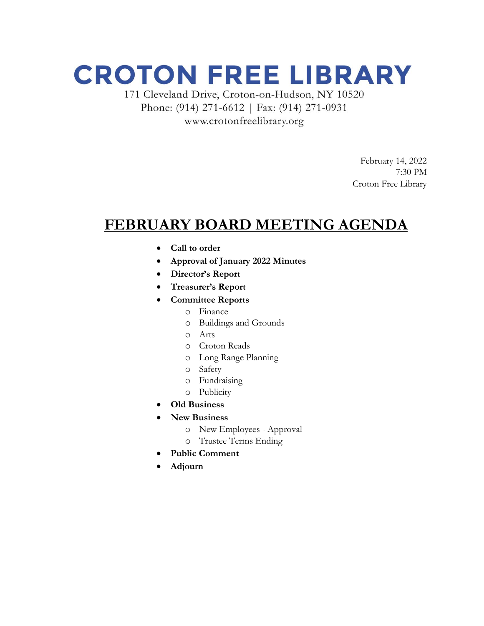## **CROTON FREE LIBRARY**

171 Cleveland Drive, Croton-on-Hudson, NY 10520 Phone: (914) 271-6612 | Fax: (914) 271-0931 www.crotonfreelibrary.org

> February 14, 2022 7:30 PM Croton Free Library

### **FEBRUARY BOARD MEETING AGENDA**

- **Call to order**
- **Approval of January 2022 Minutes**
- **Director's Report**
- **Treasurer's Report**
- **Committee Reports**
	- o Finance
	- o Buildings and Grounds
	- o Arts
	- o Croton Reads
	- o Long Range Planning
	- o Safety
	- o Fundraising
	- o Publicity
- **Old Business**
- **New Business**
	- o New Employees Approval
	- o Trustee Terms Ending
- **Public Comment**
- **Adjourn**